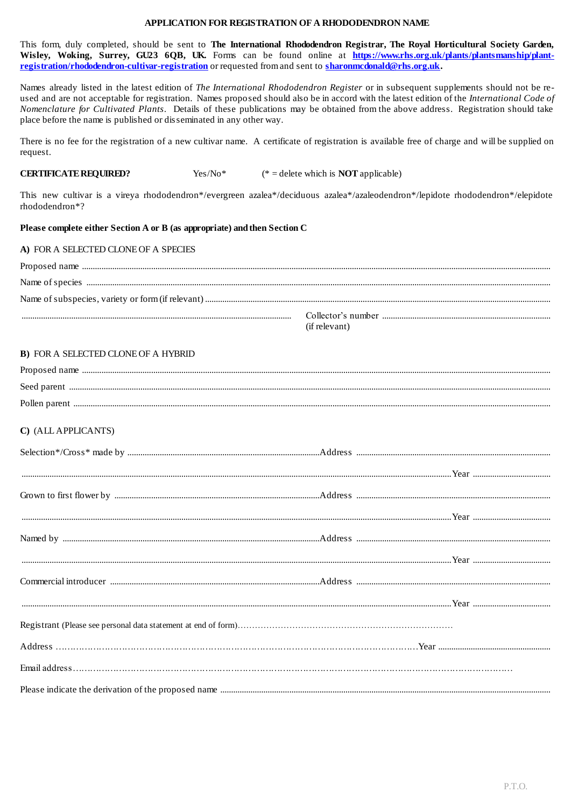## APPLICATION FOR REGISTRATION OF A RHODODENDRON NAME

This form, duly completed, should be sent to The International Rhododendron Registrar, The Royal Horticultural Society Garden, Wisley, Woking, Surrey, GU23 6QB, UK. Forms can be found online at https://www.rhs.org.uk/plants/plantsmanship/plantregistration/rhododendron-cultivar-registration or requested from and sent to sharonmedonald@rhs.org.uk.

Names already listed in the latest edition of The International Rhododendron Register or in subsequent supplements should not be reused and are not acceptable for registration. Names proposed should also be in accord with the latest edition of the International Code of Nomenclature for Cultivated Plants. Details of these publications may be obtained from the above address. Registration should take place before the name is published or disseminated in any other way.

There is no fee for the registration of a new cultivar name. A certificate of registration is available free of charge and will be supplied on request.

#### **CERTIFICATE REQUIRED?** Yes/No\* (\* = delete which is **NOT** applicable)

This new cultivar is a vireya rhododendron\*/evergreen azalea\*/deciduous azalea\*/azaleodendron\*/lepidote rhododendron\*/elepidote rhododendron\*?

## Please complete either Section A or B (as appropriate) and then Section C

| A) FOR A SELECTED CLONE OF A SPECIES |               |
|--------------------------------------|---------------|
|                                      |               |
|                                      |               |
|                                      |               |
|                                      | (if relevant) |

## **B) FOR A SELECTED CLONE OF A HYBRID**

# C) (ALL APPLICANTS)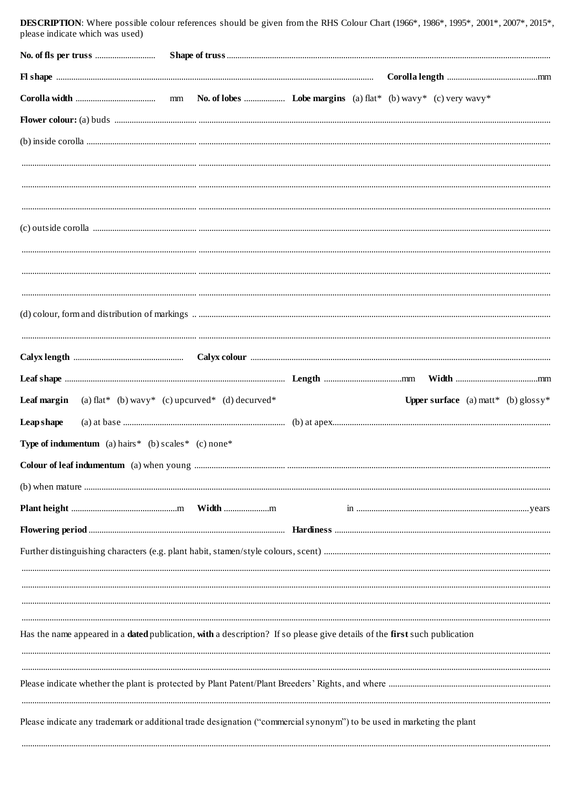| <b>EXECUTE 11015.</b> WHERE POSSIBLE COLORE EXECUTIVE SHOWN DC given from the Kind Colorn Chart (1700), 1700), 1777, 2001, 2001, 2015<br>please indicate which was used) |  |  |                                               |  |
|--------------------------------------------------------------------------------------------------------------------------------------------------------------------------|--|--|-----------------------------------------------|--|
|                                                                                                                                                                          |  |  |                                               |  |
|                                                                                                                                                                          |  |  |                                               |  |
|                                                                                                                                                                          |  |  |                                               |  |
|                                                                                                                                                                          |  |  |                                               |  |
|                                                                                                                                                                          |  |  |                                               |  |
|                                                                                                                                                                          |  |  |                                               |  |
|                                                                                                                                                                          |  |  |                                               |  |
|                                                                                                                                                                          |  |  |                                               |  |
|                                                                                                                                                                          |  |  |                                               |  |
|                                                                                                                                                                          |  |  |                                               |  |
|                                                                                                                                                                          |  |  |                                               |  |
|                                                                                                                                                                          |  |  |                                               |  |
|                                                                                                                                                                          |  |  |                                               |  |
|                                                                                                                                                                          |  |  |                                               |  |
|                                                                                                                                                                          |  |  |                                               |  |
|                                                                                                                                                                          |  |  |                                               |  |
| <b>Leaf margin</b> (a) flat* (b) wavy* (c) upcurved* (d) decurved*                                                                                                       |  |  | <b>Upper surface</b> (a) matt* (b) $g$ lossy* |  |
| <b>Leap</b> shape                                                                                                                                                        |  |  |                                               |  |
| <b>Type of indumentum</b> (a) hairs $*$ (b) scales $*$ (c) none $*$                                                                                                      |  |  |                                               |  |
|                                                                                                                                                                          |  |  |                                               |  |
|                                                                                                                                                                          |  |  |                                               |  |
|                                                                                                                                                                          |  |  |                                               |  |
|                                                                                                                                                                          |  |  |                                               |  |
|                                                                                                                                                                          |  |  |                                               |  |
|                                                                                                                                                                          |  |  |                                               |  |
|                                                                                                                                                                          |  |  |                                               |  |
|                                                                                                                                                                          |  |  |                                               |  |
| Has the name appeared in a <b>dated</b> publication, with a description? If so please give details of the first such publication                                         |  |  |                                               |  |
|                                                                                                                                                                          |  |  |                                               |  |
|                                                                                                                                                                          |  |  |                                               |  |
|                                                                                                                                                                          |  |  |                                               |  |
| Please indicate any trademark or additional trade designation ("commercial synonym") to be used in marketing the plant                                                   |  |  |                                               |  |
|                                                                                                                                                                          |  |  |                                               |  |

**DESCRIPTION:** Where possible colour references should be given from the RHS Colour Chart (1966\*, 1986\*, 1995\*, 2001\*, 2007\*, 2015\*,